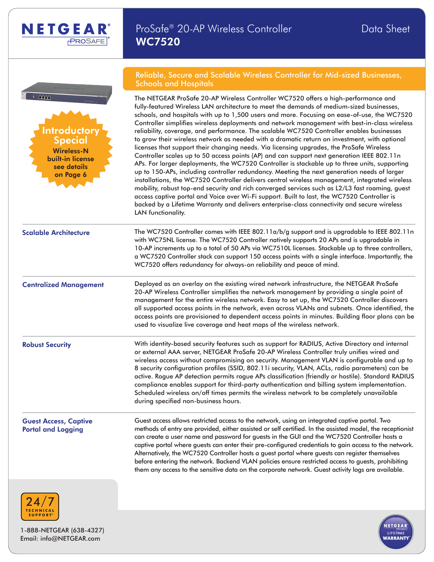|                                                                                                                     | Reliable, Secure and Scalable Wireless Controller for Mid-sized Businesses,<br><b>Schools and Hospitals</b>                                                                                                                                                                                                                                                                                                                                                                                                                                                                                                                                                                                                                                                                                                                                                                                                                                                                                                                                                                                                                                                                                                                                                                                                                                                                                     |  |  |  |  |  |  |  |
|---------------------------------------------------------------------------------------------------------------------|-------------------------------------------------------------------------------------------------------------------------------------------------------------------------------------------------------------------------------------------------------------------------------------------------------------------------------------------------------------------------------------------------------------------------------------------------------------------------------------------------------------------------------------------------------------------------------------------------------------------------------------------------------------------------------------------------------------------------------------------------------------------------------------------------------------------------------------------------------------------------------------------------------------------------------------------------------------------------------------------------------------------------------------------------------------------------------------------------------------------------------------------------------------------------------------------------------------------------------------------------------------------------------------------------------------------------------------------------------------------------------------------------|--|--|--|--|--|--|--|
| <b>Gri</b> n<br>Introductory<br><b>Special</b><br><b>Wireless-N</b><br>built-in license<br>see details<br>on Page 6 | The NETGEAR ProSafe 20-AP Wireless Controller WC7520 offers a high-performance and<br>fully-featured Wireless LAN architecture to meet the demands of medium-sized businesses,<br>schools, and hospitals with up to 1,500 users and more. Focusing on ease-of-use, the WC7520<br>Controller simplifies wireless deployments and network management with best-in-class wireless<br>reliability, coverage, and performance. The scalable WC7520 Controller enables businesses<br>to grow their wireless network as needed with a dramatic return on investment, with optional<br>licenses that support their changing needs. Via licensing upgrades, the ProSafe Wireless<br>Controller scales up to 50 access points (AP) and can support next generation IEEE 802.11n<br>APs. For larger deployments, the WC7520 Controller is stackable up to three units, supporting<br>up to 150-APs, including controller redundancy. Meeting the next generation needs of larger<br>installations, the WC7520 Controller delivers central wireless management, integrated wireless<br>mobility, robust top-end security and rich converged services such as L2/L3 fast roaming, guest<br>access captive portal and Voice over Wi-Fi support. Built to last, the WC7520 Controller is<br>backed by a Lifetime Warranty and delivers enterprise-class connectivity and secure wireless<br>LAN functionality. |  |  |  |  |  |  |  |
| <b>Scalable Architecture</b>                                                                                        | The WC7520 Controller comes with IEEE 802.11a/b/g support and is upgradable to IEEE 802.11n<br>with WC75NL license. The WC7520 Controller natively supports 20 APs and is upgradable in<br>10-AP increments up to a total of 50 APs via WC7510L licenses. Stackable up to three controllers,<br>a WC7520 Controller stack can support 150 access points with a single interface. Importantly, the<br>WC7520 offers redundancy for always-on reliability and peace of mind.                                                                                                                                                                                                                                                                                                                                                                                                                                                                                                                                                                                                                                                                                                                                                                                                                                                                                                                      |  |  |  |  |  |  |  |
| <b>Centralized Management</b>                                                                                       | Deployed as an overlay on the existing wired network infrastructure, the NETGEAR ProSafe<br>20-AP Wireless Controller simplifies the network management by providing a single point of<br>management for the entire wireless network. Easy to set up, the WC7520 Controller discovers<br>all supported access points in the network, even across VLANs and subnets. Once identified, the<br>access points are provisioned to dependent access points in minutes. Building floor plans can be<br>used to visualize live coverage and heat maps of the wireless network.                                                                                                                                                                                                                                                                                                                                                                                                                                                                                                                                                                                                                                                                                                                                                                                                                          |  |  |  |  |  |  |  |
| <b>Robust Security</b>                                                                                              | With identity-based security features such as support for RADIUS, Active Directory and internal<br>or external AAA server, NETGEAR ProSafe 20-AP Wireless Controller truly unifies wired and<br>wireless access without compromising on security. Management VLAN is configurable and up to<br>8 security configuration profiles (SSID, 802.11i security, VLAN, ACLs, radio parameters) can be<br>active. Rogue AP detection permits rogue APs classification (friendly or hostile). Standard RADIUS<br>compliance enables support for third-party authentication and billing system implementation.<br>Scheduled wireless on/off times permits the wireless network to be completely unavailable<br>during specified non-business hours.                                                                                                                                                                                                                                                                                                                                                                                                                                                                                                                                                                                                                                                       |  |  |  |  |  |  |  |
| <b>Guest Access, Captive</b><br><b>Portal and Logging</b>                                                           | Guest access allows restricted access to the network, using an integrated captive portal. Two<br>methods of entry are provided, either assisted or self certified. In the assisted model, the receptionist<br>can create a user name and password for guests in the GUI and the WC7520 Controller hosts a<br>captive portal where guests can enter their pre-configured credentials to gain access to the network.<br>Alternatively, the WC7520 Controller hosts a guest portal where guests can register themselves<br>before entering the network. Backend VLAN policies ensure restricted access to guests, prohibiting<br>them any access to the sensitive data on the corporate network. Guest activity logs are available.                                                                                                                                                                                                                                                                                                                                                                                                                                                                                                                                                                                                                                                                |  |  |  |  |  |  |  |
| 21/7                                                                                                                |                                                                                                                                                                                                                                                                                                                                                                                                                                                                                                                                                                                                                                                                                                                                                                                                                                                                                                                                                                                                                                                                                                                                                                                                                                                                                                                                                                                                 |  |  |  |  |  |  |  |



1-888-NETGEAR (638-4327) Email: info@NETGEAR.com

NETGEAR®

 $PROSAFE$ <sup>\*</sup>

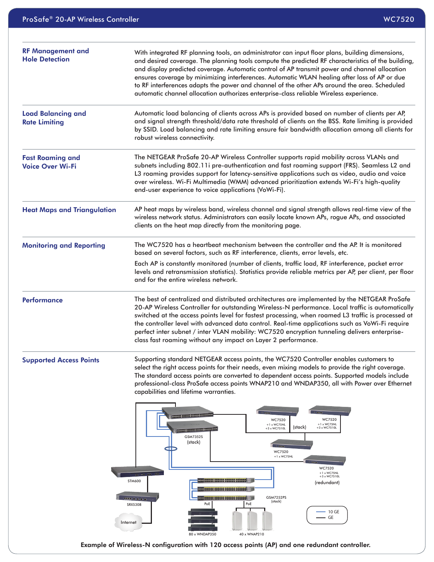| <b>RF Management and</b><br><b>Hole Detection</b>  | With integrated RF planning tools, an administrator can input floor plans, building dimensions,<br>and desired coverage. The planning tools compute the predicted RF characteristics of the building,<br>and display predicted coverage. Automatic control of AP transmit power and channel allocation<br>ensures coverage by minimizing interferences. Automatic WLAN healing after loss of AP or due<br>to RF interferences adapts the power and channel of the other APs around the area. Scheduled<br>automatic channel allocation authorizes enterprise-class reliable Wireless experience. |
|----------------------------------------------------|--------------------------------------------------------------------------------------------------------------------------------------------------------------------------------------------------------------------------------------------------------------------------------------------------------------------------------------------------------------------------------------------------------------------------------------------------------------------------------------------------------------------------------------------------------------------------------------------------|
| <b>Load Balancing and</b><br><b>Rate Limiting</b>  | Automatic load balancing of clients across APs is provided based on number of clients per AP,<br>and signal strength threshold/data rate threshold of clients on the BSS. Rate limiting is provided<br>by SSID. Load balancing and rate limiting ensure fair bandwidth allocation among all clients for<br>robust wireless connectivity.                                                                                                                                                                                                                                                         |
| <b>Fast Roaming and</b><br><b>Voice Over Wi-Fi</b> | The NETGEAR ProSafe 20-AP Wireless Controller supports rapid mobility across VLANs and<br>subnets including 802.11i pre-authentication and fast roaming support (FRS). Seamless L2 and<br>L3 roaming provides support for latency-sensitive applications such as video, audio and voice<br>over wireless. Wi-Fi Multimedia (WMM) advanced prioritization extends Wi-Fi's high-quality<br>end-user experience to voice applications (VoWi-Fi).                                                                                                                                                    |
| <b>Heat Maps and Triangulation</b>                 | AP heat maps by wireless band, wireless channel and signal strength allows real-time view of the<br>wireless network status. Administrators can easily locate known APs, rogue APs, and associated<br>clients on the heat map directly from the monitoring page.                                                                                                                                                                                                                                                                                                                                 |
| <b>Monitoring and Reporting</b>                    | The WC7520 has a heartbeat mechanism between the controller and the AP. It is monitored<br>based on several factors, such as RF interference, clients, error levels, etc.                                                                                                                                                                                                                                                                                                                                                                                                                        |
|                                                    | Each AP is constantly monitored (number of clients, traffic load, RF interference, packet error<br>levels and retransmission statistics). Statistics provide reliable metrics per AP, per client, per floor<br>and for the entire wireless network.                                                                                                                                                                                                                                                                                                                                              |
| <b>Performance</b>                                 | The best of centralized and distributed architectures are implemented by the NETGEAR ProSafe<br>20-AP Wireless Controller for outstanding Wireless-N performance. Local traffic is automatically<br>switched at the access points level for fastest processing, when roamed L3 traffic is processed at<br>the controller level with advanced data control. Real-time applications such as VoWi-Fi require<br>perfect inter subnet / inter VLAN mobility: WC7520 encryption tunneling delivers enterprise-<br>class fast roaming without any impact on Layer 2 performance.                       |
| <b>Supported Access Points</b>                     | Supporting standard NETGEAR access points, the WC7520 Controller enables customers to<br>select the right access points for their needs, even mixing models to provide the right coverage.<br>The standard access points are converted to dependent access points. Supported models include<br>professional-class ProSafe access points WNAP210 and WNDAP350, all with Power over Ethernet<br>capabilities and lifetime warranties.                                                                                                                                                              |
|                                                    | aaaaaa aaaaaa aaaaaa 200000 M<br>WC7520<br>WC7520<br>$+1$ x WC75NL<br>$+1$ x WC75NL<br>(stack)<br>+3 x WC7510L<br>+3 x WC7510L<br>200000 000000 000000 00000<br>GSM7352S<br>(stack)<br>Œ<br>WC7520<br>$+1$ x WC75NL<br>i statut<br>WC7520<br>$+1$ x WC75NL<br>$m = 100$<br>+3 x WC7510L<br><b>STM600</b><br>(redundant)<br><u>eccese secces secces cocodo ()</u><br><b>Excess Second Second Second ( )</b><br><b>GSM7252PS</b><br>م و و و سنجه<br>(stack)<br>PoE<br>PoE<br><b>SRX5308</b><br>$-10$ GE<br>- GE<br>Internet<br>80 x WNDAP350<br>40 x WNAP210                                       |

Example of Wireless-N configuration with 120 access points (AP) and one redundant controller.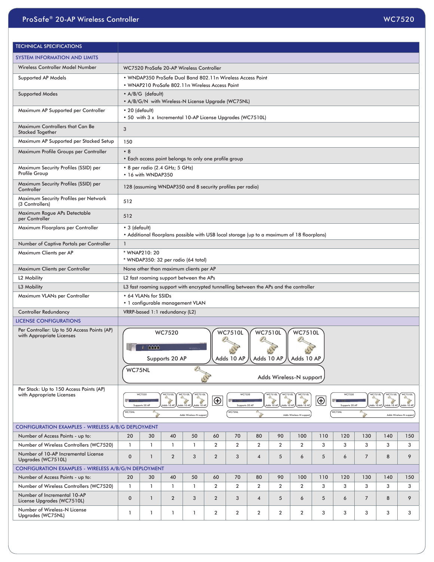| <b>TECHNICAL SPECIFICATIONS</b>                                          |                                                                                                                       |                                |                       |                                                                                                 |                |                                   |                                                                                      |                                                            |                                                               |          |                                    |                              |                                    |                                                  |
|--------------------------------------------------------------------------|-----------------------------------------------------------------------------------------------------------------------|--------------------------------|-----------------------|-------------------------------------------------------------------------------------------------|----------------|-----------------------------------|--------------------------------------------------------------------------------------|------------------------------------------------------------|---------------------------------------------------------------|----------|------------------------------------|------------------------------|------------------------------------|--------------------------------------------------|
| <b>SYSTEM INFORMATION AND LIMITS</b>                                     |                                                                                                                       |                                |                       |                                                                                                 |                |                                   |                                                                                      |                                                            |                                                               |          |                                    |                              |                                    |                                                  |
| Wireless Controller Model Number                                         | WC7520 ProSafe 20-AP Wireless Controller                                                                              |                                |                       |                                                                                                 |                |                                   |                                                                                      |                                                            |                                                               |          |                                    |                              |                                    |                                                  |
| Supported AP Models                                                      | . WNDAP350 ProSafe Dual Band 802.11n Wireless Access Point<br>• WNAP210 ProSafe 802.11n Wireless Access Point         |                                |                       |                                                                                                 |                |                                   |                                                                                      |                                                            |                                                               |          |                                    |                              |                                    |                                                  |
| <b>Supported Modes</b>                                                   | • A/B/G (default)<br>• A/B/G/N with Wireless-N License Upgrade (WC75NL)                                               |                                |                       |                                                                                                 |                |                                   |                                                                                      |                                                            |                                                               |          |                                    |                              |                                    |                                                  |
| Maximum AP Supported per Controller                                      | $\cdot$ 20 (default)<br>. 50 with 3 x Incremental 10-AP License Upgrades (WC7510L)                                    |                                |                       |                                                                                                 |                |                                   |                                                                                      |                                                            |                                                               |          |                                    |                              |                                    |                                                  |
| Maximum Controllers that Can Be<br><b>Stacked Together</b>               | 3                                                                                                                     |                                |                       |                                                                                                 |                |                                   |                                                                                      |                                                            |                                                               |          |                                    |                              |                                    |                                                  |
| Maximum AP Supported per Stacked Setup                                   | 150                                                                                                                   |                                |                       |                                                                                                 |                |                                   |                                                                                      |                                                            |                                                               |          |                                    |                              |                                    |                                                  |
| Maximum Profile Groups per Controller                                    | •8<br>. Each access point belongs to only one profile group                                                           |                                |                       |                                                                                                 |                |                                   |                                                                                      |                                                            |                                                               |          |                                    |                              |                                    |                                                  |
| Maximum Security Profiles (SSID) per<br>Profile Group                    | • 8 per radio (2.4 GHz; 5 GHz)<br>• 16 with WNDAP350                                                                  |                                |                       |                                                                                                 |                |                                   |                                                                                      |                                                            |                                                               |          |                                    |                              |                                    |                                                  |
| Maximum Security Profiles (SSID) per<br>Controller                       |                                                                                                                       |                                |                       | 128 (assuming WNDAP350 and 8 security profiles per radio)                                       |                |                                   |                                                                                      |                                                            |                                                               |          |                                    |                              |                                    |                                                  |
| Maximum Security Profiles per Network<br>(3 Controllers)                 | 512                                                                                                                   |                                |                       |                                                                                                 |                |                                   |                                                                                      |                                                            |                                                               |          |                                    |                              |                                    |                                                  |
| Maximum Rogue APs Detectable<br>per Controller                           | 512                                                                                                                   |                                |                       |                                                                                                 |                |                                   |                                                                                      |                                                            |                                                               |          |                                    |                              |                                    |                                                  |
| Maximum Floorplans per Controller                                        | • 3 (default)<br>• Additional floorplans possible with USB local storage (up to a maximum of 18 floorplans)           |                                |                       |                                                                                                 |                |                                   |                                                                                      |                                                            |                                                               |          |                                    |                              |                                    |                                                  |
| Number of Captive Portals per Controller                                 | $\mathbf{1}$                                                                                                          |                                |                       |                                                                                                 |                |                                   |                                                                                      |                                                            |                                                               |          |                                    |                              |                                    |                                                  |
| Maximum Clients per AP                                                   | * WNAP210: 20<br>* WNDAP350: 32 per radio (64 total)                                                                  |                                |                       |                                                                                                 |                |                                   |                                                                                      |                                                            |                                                               |          |                                    |                              |                                    |                                                  |
| Maximum Clients per Controller                                           |                                                                                                                       |                                |                       | None other than maximum clients per AP                                                          |                |                                   |                                                                                      |                                                            |                                                               |          |                                    |                              |                                    |                                                  |
| L <sub>2</sub> Mobility                                                  |                                                                                                                       |                                |                       | L2 fast roaming support between the APs                                                         |                |                                   |                                                                                      |                                                            |                                                               |          |                                    |                              |                                    |                                                  |
| L3 Mobility                                                              |                                                                                                                       |                                |                       |                                                                                                 |                |                                   | L3 fast roaming support with encrypted tunnelling between the APs and the controller |                                                            |                                                               |          |                                    |                              |                                    |                                                  |
| Maximum VLANs per Controller                                             |                                                                                                                       | • 64 VLANs for SSIDs           |                       | • 1 configurable management VLAN                                                                |                |                                   |                                                                                      |                                                            |                                                               |          |                                    |                              |                                    |                                                  |
| <b>Controller Redundancy</b>                                             |                                                                                                                       | VRRP-based 1:1 redundancy (L2) |                       |                                                                                                 |                |                                   |                                                                                      |                                                            |                                                               |          |                                    |                              |                                    |                                                  |
| <b>LICENSE CONFIGURATIONS</b>                                            |                                                                                                                       |                                |                       |                                                                                                 |                |                                   |                                                                                      |                                                            |                                                               |          |                                    |                              |                                    |                                                  |
| Per Controller: Up to 50 Access Points (AP)<br>with Appropriate Licenses | WC7520<br><b>WC7510L</b><br><b>WC7510L</b><br>WC7510L<br>Supports 20 AP<br>10 AP<br>AUUS IV AR<br>auus.<br>Auus IV Ar |                                |                       |                                                                                                 |                |                                   |                                                                                      |                                                            |                                                               |          |                                    |                              |                                    |                                                  |
|                                                                          | WC75NL                                                                                                                |                                |                       |                                                                                                 |                |                                   |                                                                                      | Adds Wireless-N support                                    |                                                               |          |                                    |                              |                                    |                                                  |
| Per Stack: Up to 150 Access Points (AP)<br>with Appropriate Licenses     | WC75NL                                                                                                                | WC7520<br>Supports 20 AP       | WC7510L<br>Adds 10 AP | <b>WC7510L</b><br>WC7510L<br>C. L.<br>50<br>Adds 10 AP<br>Adds 10 AP<br>Adds Wireless-N support | $\oplus$       | WC7520<br>Supports 20 A<br>WC75NL |                                                                                      | WC7510L<br>WC7510L<br>13<br>50<br>Adds 10 AP<br>Adds 10 AP | <b>WC7510L</b><br>S.<br>Adds 10 AP<br>Adds Wireless-N support | $\oplus$ | WC7520<br>Supports 20 AP<br>WC75NL | <b>WC7510L</b><br>Adds 10 AP | <b>WC7510L</b><br>S.<br>Adds 10 AP | WC7510L<br>Adds 10 AP<br>Adds Wireless-N support |
| CONFIGURATION EXAMPLES - WIRELESS A/B/G DEPLOYMENT                       |                                                                                                                       |                                |                       |                                                                                                 |                |                                   |                                                                                      |                                                            |                                                               |          |                                    |                              |                                    |                                                  |
| Number of Access Points - up to:                                         | 20                                                                                                                    | 30                             | 40                    | 50                                                                                              | 60             | 70                                | 80                                                                                   | 90                                                         | 100                                                           | 110      | 120                                | 130                          | 140                                | 150                                              |
| Number of Wireless Controllers (WC7520)                                  | $\mathbf{1}$                                                                                                          | $\mathbf{1}$                   | $\mathbf{1}$          | $\mathbf{1}$                                                                                    | $\overline{2}$ | $\overline{\mathbf{2}}$           | 2                                                                                    | $\overline{2}$                                             | $\overline{2}$                                                | 3        | 3                                  | 3                            | 3                                  | 3                                                |
| Number of 10-AP Incremental License<br>Upgrades (WC7510L)                | $\mathbf 0$                                                                                                           | $\mathbf{1}$                   | $\overline{2}$        | 3                                                                                               | $\overline{2}$ | 3                                 | 4                                                                                    | 5                                                          | 6                                                             | 5        | 6                                  | $\overline{7}$               | 8                                  | 9                                                |
| CONFIGURATION EXAMPLES - WIRELESS A/B/G/N DEPLOYMENT                     |                                                                                                                       |                                |                       |                                                                                                 |                |                                   |                                                                                      |                                                            |                                                               |          |                                    |                              |                                    |                                                  |
| Number of Access Points - up to:                                         | 20                                                                                                                    | 30                             | 40                    | 50                                                                                              | 60             | 70                                | 80                                                                                   | 90                                                         | 100                                                           | 110      | 120                                | 130                          | 140                                | 150                                              |
| Number of Wireless Controllers (WC7520)<br>Number of Incremental 10-AP   | $\mathbf{1}$                                                                                                          | $\mathbf{1}$                   | $\mathbf{1}$          | $\mathbf{1}$                                                                                    | $\overline{2}$ | $\overline{2}$                    | $\overline{2}$                                                                       | $\overline{2}$                                             | $\overline{2}$                                                | 3        | 3                                  | 3                            | 3                                  | 3                                                |
| License Upgrades (WC7510L)<br>Number of Wireless-N License               | $\mathbf 0$                                                                                                           | $\mathbf{1}$                   | $\overline{2}$        | 3                                                                                               | $\overline{2}$ | 3                                 | 4                                                                                    | 5                                                          | 6                                                             | 5        | 6                                  | $\overline{7}$               | 8                                  | 9                                                |
| Upgrades (WC75NL)                                                        | 1                                                                                                                     | $\mathbf{1}$                   | $\mathbf{1}$          | 1                                                                                               | 2              | $\overline{2}$                    | $\overline{2}$                                                                       | $\overline{2}$                                             | $\overline{2}$                                                | 3        | 3                                  | 3                            | 3                                  | 3                                                |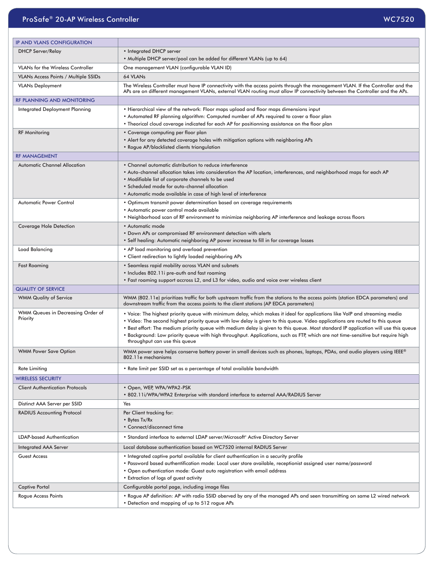## ProSafe® 20-AP Wireless Controller WC7520 and the Controller WC7520 and the Controller WC7520 and the WC7520 and the WC7520 and the WC7520 and the WC7520 and the WC7520 and the WC7520 and the WC7520 and the WC7520 and the

| <b>IP AND VLANS CONFIGURATION</b>             |                                                                                                                                                                                                                                                                                                                                                                                                                                                                                                                                                                         |  |  |  |  |  |
|-----------------------------------------------|-------------------------------------------------------------------------------------------------------------------------------------------------------------------------------------------------------------------------------------------------------------------------------------------------------------------------------------------------------------------------------------------------------------------------------------------------------------------------------------------------------------------------------------------------------------------------|--|--|--|--|--|
| <b>DHCP Server/Relay</b>                      | • Integrated DHCP server                                                                                                                                                                                                                                                                                                                                                                                                                                                                                                                                                |  |  |  |  |  |
|                                               | . Multiple DHCP server/pool can be added for different VLANs (up to 64)                                                                                                                                                                                                                                                                                                                                                                                                                                                                                                 |  |  |  |  |  |
| <b>VLANs for the Wireless Controller</b>      | One management VLAN (configurable VLAN ID)                                                                                                                                                                                                                                                                                                                                                                                                                                                                                                                              |  |  |  |  |  |
| VLANs Access Points / Multiple SSIDs          | 64 VLANs                                                                                                                                                                                                                                                                                                                                                                                                                                                                                                                                                                |  |  |  |  |  |
| <b>VLANs Deployment</b>                       | The Wireless Controller must have IP connectivity with the access points through the management VLAN. If the Controller and the<br>APs are on different management VLANs, external VLAN routing must allow IP connectivity between the Controller and the APs.                                                                                                                                                                                                                                                                                                          |  |  |  |  |  |
| RF PLANNING AND MONITORING                    |                                                                                                                                                                                                                                                                                                                                                                                                                                                                                                                                                                         |  |  |  |  |  |
| Integrated Deployment Planning                | • Hierarchical view of the network: Floor maps upload and floor maps dimensions input<br>. Automated RF planning algorithm: Computed number of APs required to cover a floor plan<br>• Theorical cloud coverage indicated for each AP for positionning assistance on the floor plan                                                                                                                                                                                                                                                                                     |  |  |  |  |  |
| <b>RF Monitoring</b>                          | • Coverage computing per floor plan<br>. Alert for any detected coverage holes with mitigation options with neighboring APs<br>• Rogue AP/blacklisted clients triangulation                                                                                                                                                                                                                                                                                                                                                                                             |  |  |  |  |  |
| <b>RF MANAGEMENT</b>                          |                                                                                                                                                                                                                                                                                                                                                                                                                                                                                                                                                                         |  |  |  |  |  |
| <b>Automatic Channel Allocation</b>           | • Channel automatic distribution to reduce interference<br>. Auto-channel allocation takes into consideration the AP location, interferences, and neighborhood maps for each AP<br>. Modifiable list of corporate channels to be used<br>• Scheduled mode for auto-channel allocation<br>• Automatic mode available in case of high level of interference                                                                                                                                                                                                               |  |  |  |  |  |
| <b>Automatic Power Control</b>                | . Optimum transmit power determination based on coverage requirements<br>• Automatic power control mode available                                                                                                                                                                                                                                                                                                                                                                                                                                                       |  |  |  |  |  |
| <b>Coverage Hole Detection</b>                | • Neighborhood scan of RF environment to minimize neighboring AP interference and leakage across floors<br>• Automatic mode                                                                                                                                                                                                                                                                                                                                                                                                                                             |  |  |  |  |  |
|                                               | . Down APs or compromised RF environment detection with alerts<br>• Self healing: Automatic neighboring AP power increase to fill in for coverage losses                                                                                                                                                                                                                                                                                                                                                                                                                |  |  |  |  |  |
| Load Balancing                                | • AP load monitoring and overload prevention<br>• Client redirection to lightly loaded neighboring APs                                                                                                                                                                                                                                                                                                                                                                                                                                                                  |  |  |  |  |  |
| <b>Fast Roaming</b>                           | • Seamless rapid mobility across VLAN and subnets<br>. Includes 802.11i pre-auth and fast roaming<br>• Fast roaming support accross L2, and L3 for video, audio and voice over wireless client                                                                                                                                                                                                                                                                                                                                                                          |  |  |  |  |  |
| <b>QUALITY OF SERVICE</b>                     |                                                                                                                                                                                                                                                                                                                                                                                                                                                                                                                                                                         |  |  |  |  |  |
| <b>WMM Quality of Service</b>                 | WMM (802.11e) prioritizes traffic for both upstream traffic from the stations to the access points (station EDCA parameters) and<br>downstream traffic from the access points to the client stations (AP EDCA parameters)                                                                                                                                                                                                                                                                                                                                               |  |  |  |  |  |
| WMM Queues in Decreasing Order of<br>Priority | . Voice: The highest priority queue with minimum delay, which makes it ideal for applications like VoIP and streaming media<br>. Video: The second highest priority queue with low delay is given to this queue. Video applications are routed to this queue<br>. Best effort: The medium priority queue with medium delay is given to this queue. Most standard IP application will use this queue<br>. Background: Low priority queue with high throughput. Applications, such as FTP, which are not time-sensitive but require high<br>throughput can use this queue |  |  |  |  |  |
| <b>WMM Power Save Option</b>                  | WMM power save helps conserve battery power in small devices such as phones, laptops, PDAs, and audio players using IEEE®<br>802.11e mechanisms                                                                                                                                                                                                                                                                                                                                                                                                                         |  |  |  |  |  |
| <b>Rate Limiting</b>                          | • Rate limit per SSID set as a percentage of total available bandwidth                                                                                                                                                                                                                                                                                                                                                                                                                                                                                                  |  |  |  |  |  |
| <b>WIRELESS SECURITY</b>                      |                                                                                                                                                                                                                                                                                                                                                                                                                                                                                                                                                                         |  |  |  |  |  |
| <b>Client Authentication Protocols</b>        | • Open, WEP, WPA/WPA2-PSK<br>• 802.11i/WPA/WPA2 Enterprise with standard interface to external AAA/RADIUS Server                                                                                                                                                                                                                                                                                                                                                                                                                                                        |  |  |  |  |  |
| Distinct AAA Server per SSID                  | Yes                                                                                                                                                                                                                                                                                                                                                                                                                                                                                                                                                                     |  |  |  |  |  |
| <b>RADIUS Accounting Protocol</b>             | Per Client tracking for:<br>• Bytes Tx/Rx<br>• Connect/disconnect time                                                                                                                                                                                                                                                                                                                                                                                                                                                                                                  |  |  |  |  |  |
| <b>LDAP-based Authentication</b>              | . Standard interface to external LDAP server/Microsoft® Active Directory Server                                                                                                                                                                                                                                                                                                                                                                                                                                                                                         |  |  |  |  |  |
| <b>Integrated AAA Server</b>                  | Local database authentication based on WC7520 internal RADIUS Server                                                                                                                                                                                                                                                                                                                                                                                                                                                                                                    |  |  |  |  |  |
| <b>Guest Access</b>                           | • Integrated captive portal available for client authentication in a security profile<br>· Password based authentification mode: Local user store available, receptionist assigned user name/password<br>• Open authentication mode: Guest auto registration with email address<br>• Extraction of logs of guest activity                                                                                                                                                                                                                                               |  |  |  |  |  |
| Captive Portal                                | Configurable portal page, including image files                                                                                                                                                                                                                                                                                                                                                                                                                                                                                                                         |  |  |  |  |  |
| Rogue Access Points                           | . Rogue AP definition: AP with radio SSID oberved by any of the managed APs and seen transmitting on same L2 wired network<br>• Detection and mapping of up to 512 rogue APs                                                                                                                                                                                                                                                                                                                                                                                            |  |  |  |  |  |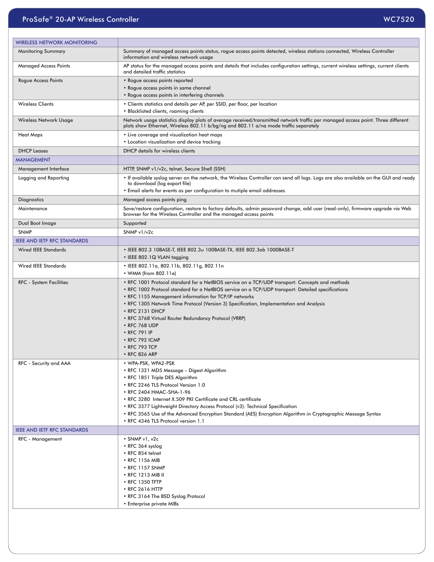| <b>WIRELESS NETWORK MONITORING</b> |                                                                                                                                                                                                                                                                                                                                                                                                                                                                                                                           |  |  |  |  |  |
|------------------------------------|---------------------------------------------------------------------------------------------------------------------------------------------------------------------------------------------------------------------------------------------------------------------------------------------------------------------------------------------------------------------------------------------------------------------------------------------------------------------------------------------------------------------------|--|--|--|--|--|
| <b>Monitoring Summary</b>          | Summary of managed access points status, rogue access points detected, wireless stations connected, Wireless Controller<br>information and wireless network usage                                                                                                                                                                                                                                                                                                                                                         |  |  |  |  |  |
| <b>Managed Access Points</b>       | AP status for the managed access points and details that includes configuration settings, current wireless settings, current clients<br>and detailed traffic statistics                                                                                                                                                                                                                                                                                                                                                   |  |  |  |  |  |
| Rogue Access Points                | • Rogue access points reported<br>• Roque access points in same channel<br>• Rogue access points in interfering channels                                                                                                                                                                                                                                                                                                                                                                                                  |  |  |  |  |  |
| <b>Wireless Clients</b>            | • Clients statistics and details per AP, per SSID, per floor, per location<br>• Blacklisted clients, roaming clients                                                                                                                                                                                                                                                                                                                                                                                                      |  |  |  |  |  |
| Wireless Network Usage             | Network usage statistics display plots of average received/transmitted network traffic per managed access point. Three different<br>plots show Ethernet, Wireless 802.11 b/bg/ng and 802.11 a/na mode traffic separately                                                                                                                                                                                                                                                                                                  |  |  |  |  |  |
| <b>Heat Maps</b>                   | • Live coverage and visualization heat maps<br>• Location visualization and device tracking                                                                                                                                                                                                                                                                                                                                                                                                                               |  |  |  |  |  |
| <b>DHCP Leases</b>                 | <b>DHCP</b> details for wireless clients                                                                                                                                                                                                                                                                                                                                                                                                                                                                                  |  |  |  |  |  |
| <b>MANAGEMENT</b>                  |                                                                                                                                                                                                                                                                                                                                                                                                                                                                                                                           |  |  |  |  |  |
| Management Interface               | HTTP, SNMP v1/v2c, telnet, Secure Shell (SSH)                                                                                                                                                                                                                                                                                                                                                                                                                                                                             |  |  |  |  |  |
| Logging and Reporting              | . If available syslog server on the network, the Wireless Controller can send all logs. Logs are also available on the GUI and ready<br>to download (log export file)<br>• Email alerts for events as per configuration to mutiple email addresses                                                                                                                                                                                                                                                                        |  |  |  |  |  |
| <b>Diagnostics</b>                 | Managed access points ping                                                                                                                                                                                                                                                                                                                                                                                                                                                                                                |  |  |  |  |  |
| Maintenance                        | Save/restore configuration, restore to factory defaults, admin password change, add user (read-only), firmware upgrade via Web<br>browser for the Wireless Controller and the managed access points                                                                                                                                                                                                                                                                                                                       |  |  |  |  |  |
| Dual Boot Image                    | Supported                                                                                                                                                                                                                                                                                                                                                                                                                                                                                                                 |  |  |  |  |  |
| <b>SNMP</b>                        | SNMP v1/v2c                                                                                                                                                                                                                                                                                                                                                                                                                                                                                                               |  |  |  |  |  |
| <b>IEEE AND IETF RFC STANDARDS</b> |                                                                                                                                                                                                                                                                                                                                                                                                                                                                                                                           |  |  |  |  |  |
| <b>Wired IEEE Standards</b>        | • IEEE 802.3 10BASE-T, IEEE 802.3u 100BASE-TX, IEEE 802.3ab 1000BASE-T<br>• IEEE 802.1Q VLAN tagging                                                                                                                                                                                                                                                                                                                                                                                                                      |  |  |  |  |  |
| <b>Wired IEEE Standards</b>        | • IEEE 802.11a, 802.11b, 802.11g, 802.11n<br>• WMM (from 802.11e)                                                                                                                                                                                                                                                                                                                                                                                                                                                         |  |  |  |  |  |
| <b>RFC</b> - System Facilities     | . RFC 1001 Protocol standard for a NetBIOS service on a TCP/UDP transport: Concepts and methods<br>. RFC 1002 Protocol standard for a NetBIOS service on a TCP/UDP transport: Detailed specifications<br>• RFC 1155 Management information for TCP/IP networks<br>• RFC 1305 Network Time Protocol (Version 3) Specification, Implementation and Analysis<br>• RFC 2131 DHCP<br>• RFC 3768 Virtual Router Redundancy Protocol (VRRP)<br>• RFC 768 UDP<br>• RFC 791 IP<br>• RFC 792 ICMP<br>• RFC 793 TCP<br>• RFC 826 ARP |  |  |  |  |  |
| RFC - Security and AAA             | • WPA-PSK, WPA2-PSK<br>• RFC 1321 MD5 Message - Digest Algorithm<br>• RFC 1851 Triple DES Algorithm<br>• RFC 2246 TLS Protocol Version 1.0<br>• RFC 2404 HMAC-SHA-1-96<br>• RFC 3280 Internet X.509 PKI Certificate and CRL certificate<br>• RFC 3377 Lightweight Directory Access Protocol (v3): Technical Specification<br>• RFC 3565 Use of the Advanced Encryption Standard (AES) Encryption Algorithm in Cryptographic Message Syntax<br>• RFC 4346 TLS Protocol version 1.1                                         |  |  |  |  |  |
| <b>IEEE AND IETF RFC STANDARDS</b> |                                                                                                                                                                                                                                                                                                                                                                                                                                                                                                                           |  |  |  |  |  |
| <b>RFC - Management</b>            | $\cdot$ SNMP v1, v2c<br>• RFC 364 syslog<br>• RFC 854 telnet<br>• RFC 1156 MIB<br>• RFC 1157 SNMP<br>• RFC 1213 MIB II<br>• RFC 1350 TFTP<br>• RFC 2616 HTTP<br>• RFC 3164 The BSD Syslog Protocol<br>• Enterprise private MIBs                                                                                                                                                                                                                                                                                           |  |  |  |  |  |